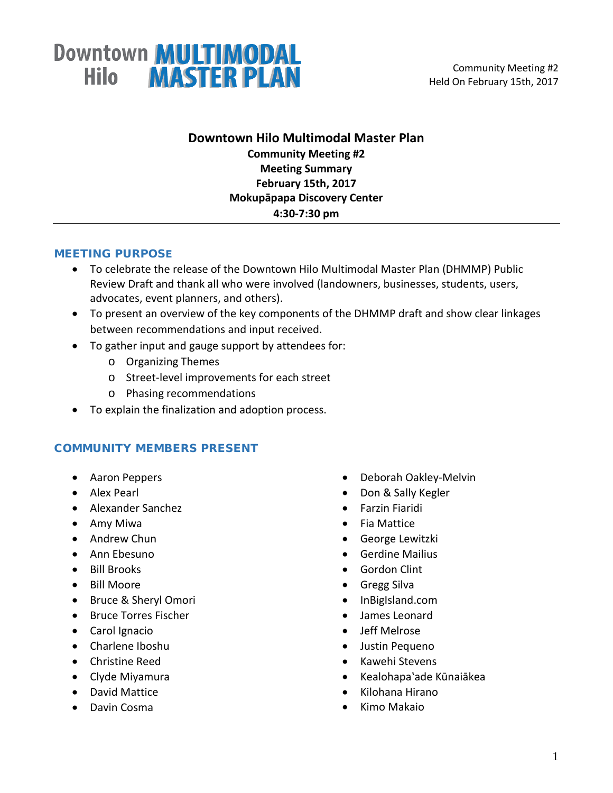

### **Downtown Hilo Multimodal Master Plan Community Meeting #2 Meeting Summary February 15th, 2017 Mokupāpapa Discovery Center 4:30-7:30 pm**

#### MEETING PURPOSE

- To celebrate the release of the Downtown Hilo Multimodal Master Plan (DHMMP) Public Review Draft and thank all who were involved (landowners, businesses, students, users, advocates, event planners, and others).
- To present an overview of the key components of the DHMMP draft and show clear linkages between recommendations and input received.
- To gather input and gauge support by attendees for:
	- o Organizing Themes
	- o Street-level improvements for each street
	- o Phasing recommendations
- To explain the finalization and adoption process.

#### COMMUNITY MEMBERS PRESENT

- Aaron Peppers
- Alex Pearl
- Alexander Sanchez
- Amy Miwa
- Andrew Chun
- Ann Ebesuno
- Bill Brooks
- Bill Moore
- Bruce & Sheryl Omori
- Bruce Torres Fischer
- Carol Ignacio
- Charlene Iboshu
- Christine Reed
- Clyde Miyamura
- David Mattice
- Davin Cosma
- Deborah Oakley-Melvin
- Don & Sally Kegler
- Farzin Fiaridi
- Fia Mattice
- George Lewitzki
- Gerdine Mailius
- Gordon Clint
- Gregg Silva
- InBigIsland.com
- James Leonard
- Jeff Melrose
- Justin Pequeno
- Kawehi Stevens
- Kealohapa'ade Kūnaiākea
- Kilohana Hirano
- Kimo Makaio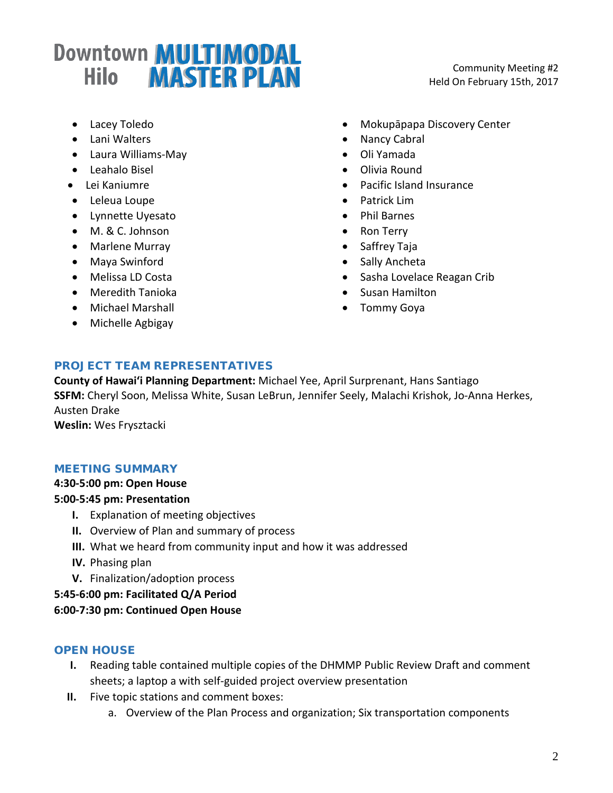Community Meeting #2 Held On February 15th, 2017

- Lacey Toledo
- Lani Walters
- Laura Williams-May
- Leahalo Bisel
- Lei Kaniumre
- Leleua Loupe
- Lynnette Uyesato
- M. & C. Johnson
- Marlene Murray
- Maya Swinford
- Melissa LD Costa
- Meredith Tanioka
- Michael Marshall
- Michelle Agbigay
- Mokupāpapa Discovery Center
- Nancy Cabral
- Oli Yamada
- Olivia Round
- Pacific Island Insurance
- Patrick Lim
- Phil Barnes
- Ron Terry
- Saffrey Taja
- Sally Ancheta
- Sasha Lovelace Reagan Crib
- Susan Hamilton
- Tommy Goya

### PROJECT TEAM REPRESENTATIVES

**County of Hawai'i Planning Department:** Michael Yee, April Surprenant, Hans Santiago **SSFM:** Cheryl Soon, Melissa White, Susan LeBrun, Jennifer Seely, Malachi Krishok, Jo-Anna Herkes, Austen Drake

**Weslin:** Wes Frysztacki

### MEETING SUMMARY

#### **4:30-5:00 pm: Open House**

#### **5:00-5:45 pm: Presentation**

- **I.** Explanation of meeting objectives
- **II.** Overview of Plan and summary of process
- **III.** What we heard from community input and how it was addressed
- **IV.** Phasing plan
- **V.** Finalization/adoption process

**5:45-6:00 pm: Facilitated Q/A Period**

### **6:00-7:30 pm: Continued Open House**

### OPEN HOUSE

- **I.** Reading table contained multiple copies of the DHMMP Public Review Draft and comment sheets; a laptop a with self-guided project overview presentation
- **II.** Five topic stations and comment boxes:
	- a. Overview of the Plan Process and organization; Six transportation components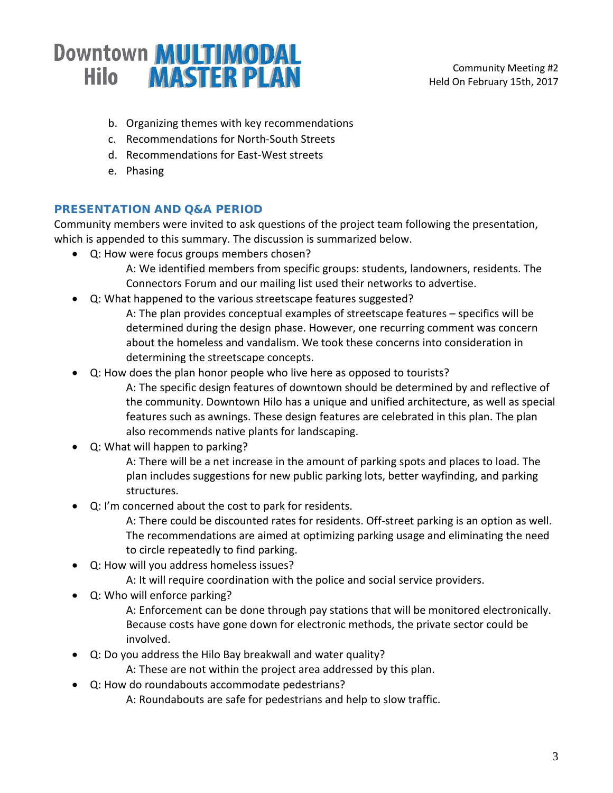- b. Organizing themes with key recommendations
- c. Recommendations for North-South Streets
- d. Recommendations for East-West streets
- e. Phasing

### PRESENTATION AND Q&A PERIOD

Community members were invited to ask questions of the project team following the presentation, which is appended to this summary. The discussion is summarized below.

- Q: How were focus groups members chosen?
	- A: We identified members from specific groups: students, landowners, residents. The Connectors Forum and our mailing list used their networks to advertise.
- Q: What happened to the various streetscape features suggested?
	- A: The plan provides conceptual examples of streetscape features specifics will be determined during the design phase. However, one recurring comment was concern about the homeless and vandalism. We took these concerns into consideration in determining the streetscape concepts.
- Q: How does the plan honor people who live here as opposed to tourists?
	- A: The specific design features of downtown should be determined by and reflective of the community. Downtown Hilo has a unique and unified architecture, as well as special features such as awnings. These design features are celebrated in this plan. The plan also recommends native plants for landscaping.
- Q: What will happen to parking?
	- A: There will be a net increase in the amount of parking spots and places to load. The plan includes suggestions for new public parking lots, better wayfinding, and parking structures.
- Q: I'm concerned about the cost to park for residents.
	- A: There could be discounted rates for residents. Off-street parking is an option as well. The recommendations are aimed at optimizing parking usage and eliminating the need to circle repeatedly to find parking.
- Q: How will you address homeless issues?
	- A: It will require coordination with the police and social service providers.
- Q: Who will enforce parking?
	- A: Enforcement can be done through pay stations that will be monitored electronically. Because costs have gone down for electronic methods, the private sector could be involved.
- Q: Do you address the Hilo Bay breakwall and water quality?
	- A: These are not within the project area addressed by this plan.
- Q: How do roundabouts accommodate pedestrians?
	- A: Roundabouts are safe for pedestrians and help to slow traffic.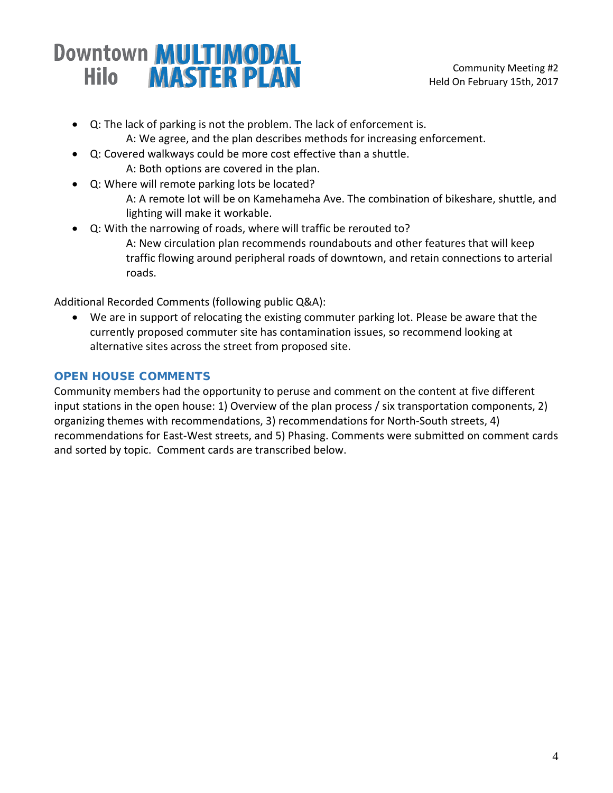• Q: The lack of parking is not the problem. The lack of enforcement is.

A: We agree, and the plan describes methods for increasing enforcement.

- Q: Covered walkways could be more cost effective than a shuttle.
	- A: Both options are covered in the plan.
- Q: Where will remote parking lots be located? A: A remote lot will be on Kamehameha Ave. The combination of bikeshare, shuttle, and lighting will make it workable.
- Q: With the narrowing of roads, where will traffic be rerouted to? A: New circulation plan recommends roundabouts and other features that will keep traffic flowing around peripheral roads of downtown, and retain connections to arterial roads.

Additional Recorded Comments (following public Q&A):

• We are in support of relocating the existing commuter parking lot. Please be aware that the currently proposed commuter site has contamination issues, so recommend looking at alternative sites across the street from proposed site.

### OPEN HOUSE COMMENTS

Community members had the opportunity to peruse and comment on the content at five different input stations in the open house: 1) Overview of the plan process / six transportation components, 2) organizing themes with recommendations, 3) recommendations for North-South streets, 4) recommendations for East-West streets, and 5) Phasing. Comments were submitted on comment cards and sorted by topic. Comment cards are transcribed below.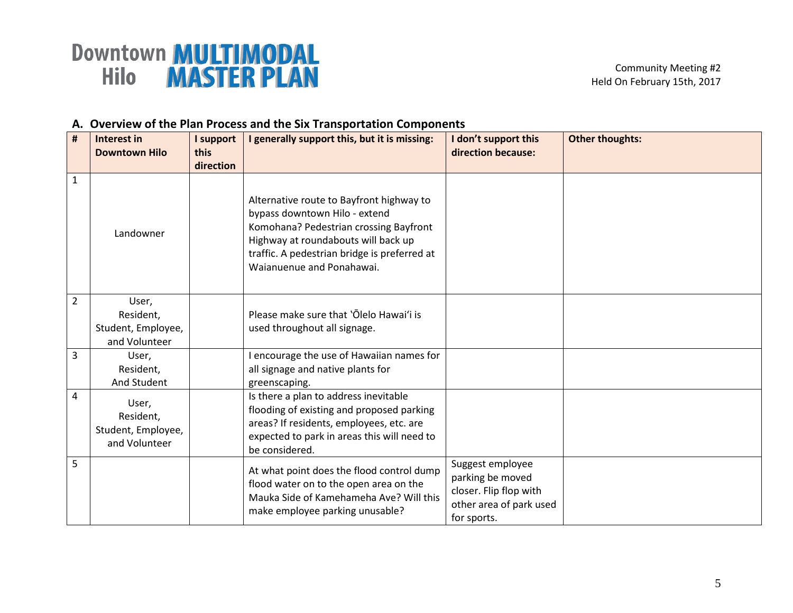#### **A. Overview of the Plan Process and the Six Transportation Components**

| $\pmb{\sharp}$ | Interest in                                               | I support         | I generally support this, but it is missing:                                                                                                                                                                                            | I don't support this                                                                                     | <b>Other thoughts:</b> |
|----------------|-----------------------------------------------------------|-------------------|-----------------------------------------------------------------------------------------------------------------------------------------------------------------------------------------------------------------------------------------|----------------------------------------------------------------------------------------------------------|------------------------|
|                | <b>Downtown Hilo</b>                                      | this<br>direction |                                                                                                                                                                                                                                         | direction because:                                                                                       |                        |
| 1              | Landowner                                                 |                   | Alternative route to Bayfront highway to<br>bypass downtown Hilo - extend<br>Komohana? Pedestrian crossing Bayfront<br>Highway at roundabouts will back up<br>traffic. A pedestrian bridge is preferred at<br>Waianuenue and Ponahawai. |                                                                                                          |                        |
| $\overline{2}$ | User,<br>Resident,<br>Student, Employee,<br>and Volunteer |                   | Please make sure that 'Olelo Hawai'i is<br>used throughout all signage.                                                                                                                                                                 |                                                                                                          |                        |
| 3              | User,<br>Resident,<br>And Student                         |                   | I encourage the use of Hawaiian names for<br>all signage and native plants for<br>greenscaping.                                                                                                                                         |                                                                                                          |                        |
| 4              | User,<br>Resident,<br>Student, Employee,<br>and Volunteer |                   | Is there a plan to address inevitable<br>flooding of existing and proposed parking<br>areas? If residents, employees, etc. are<br>expected to park in areas this will need to<br>be considered.                                         |                                                                                                          |                        |
| 5              |                                                           |                   | At what point does the flood control dump<br>flood water on to the open area on the<br>Mauka Side of Kamehameha Ave? Will this<br>make employee parking unusable?                                                                       | Suggest employee<br>parking be moved<br>closer. Flip flop with<br>other area of park used<br>for sports. |                        |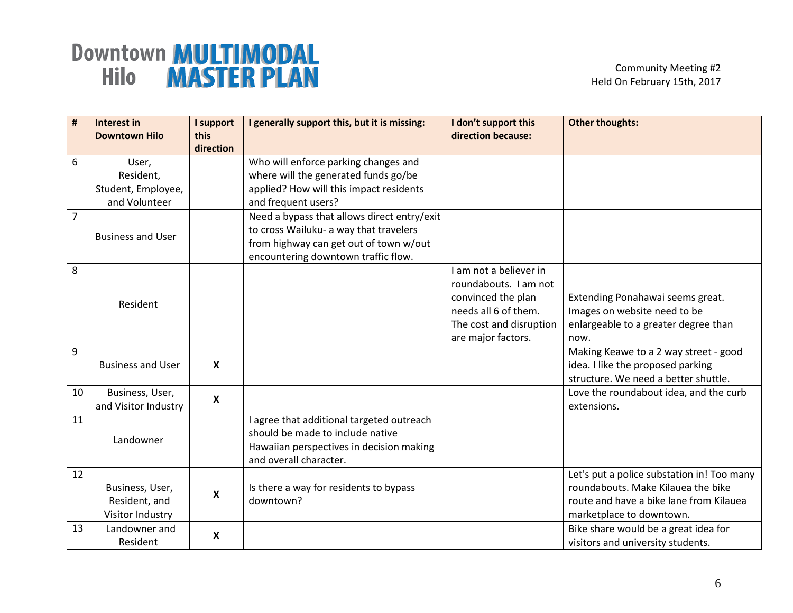| $\pmb{\#}$     | Interest in              | I support         | I generally support this, but it is missing: | I don't support this    | <b>Other thoughts:</b>                     |
|----------------|--------------------------|-------------------|----------------------------------------------|-------------------------|--------------------------------------------|
|                | <b>Downtown Hilo</b>     | this<br>direction |                                              | direction because:      |                                            |
| 6              | User,                    |                   | Who will enforce parking changes and         |                         |                                            |
|                | Resident,                |                   | where will the generated funds go/be         |                         |                                            |
|                | Student, Employee,       |                   | applied? How will this impact residents      |                         |                                            |
|                | and Volunteer            |                   | and frequent users?                          |                         |                                            |
| $\overline{7}$ |                          |                   | Need a bypass that allows direct entry/exit  |                         |                                            |
|                | <b>Business and User</b> |                   | to cross Wailuku- a way that travelers       |                         |                                            |
|                |                          |                   | from highway can get out of town w/out       |                         |                                            |
|                |                          |                   | encountering downtown traffic flow.          |                         |                                            |
| 8              |                          |                   |                                              | I am not a believer in  |                                            |
|                |                          |                   |                                              | roundabouts. I am not   |                                            |
|                | Resident                 |                   |                                              | convinced the plan      | Extending Ponahawai seems great.           |
|                |                          |                   |                                              | needs all 6 of them.    | Images on website need to be               |
|                |                          |                   |                                              | The cost and disruption | enlargeable to a greater degree than       |
|                |                          |                   |                                              | are major factors.      | now.                                       |
| 9              |                          |                   |                                              |                         | Making Keawe to a 2 way street - good      |
|                | <b>Business and User</b> | X                 |                                              |                         | idea. I like the proposed parking          |
|                |                          |                   |                                              |                         | structure. We need a better shuttle.       |
| 10             | Business, User,          | X                 |                                              |                         | Love the roundabout idea, and the curb     |
|                | and Visitor Industry     |                   |                                              |                         | extensions.                                |
| 11             |                          |                   | I agree that additional targeted outreach    |                         |                                            |
|                | Landowner                |                   | should be made to include native             |                         |                                            |
|                |                          |                   | Hawaiian perspectives in decision making     |                         |                                            |
|                |                          |                   | and overall character.                       |                         |                                            |
| 12             |                          |                   |                                              |                         | Let's put a police substation in! Too many |
|                | Business, User,          | X                 | Is there a way for residents to bypass       |                         | roundabouts. Make Kilauea the bike         |
|                | Resident, and            |                   | downtown?                                    |                         | route and have a bike lane from Kilauea    |
|                | Visitor Industry         |                   |                                              |                         | marketplace to downtown.                   |
| 13             | Landowner and            | X                 |                                              |                         | Bike share would be a great idea for       |
|                | Resident                 |                   |                                              |                         | visitors and university students.          |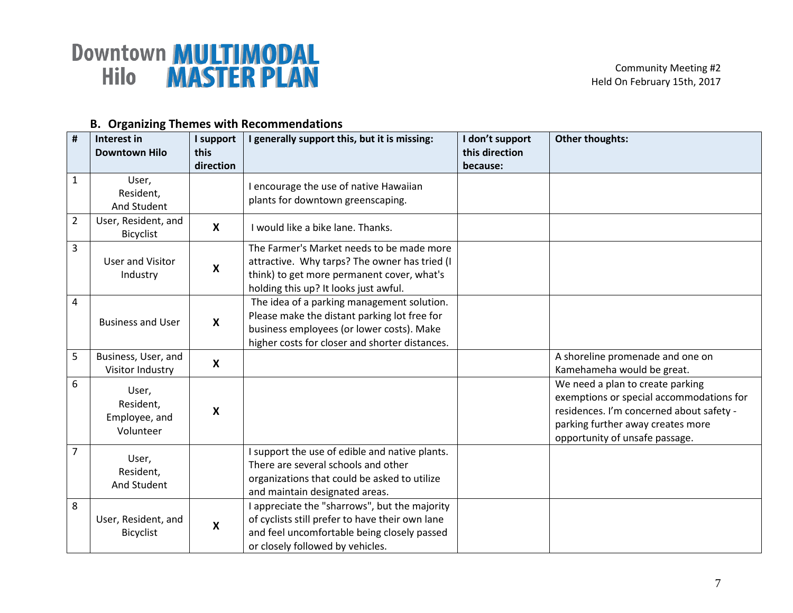| #              | Interest in<br>I support<br>this<br><b>Downtown Hilo</b> |                           | I generally support this, but it is missing:                                                                                                                                              | I don't support<br>this direction | <b>Other thoughts:</b>                                                                                                                                                                          |
|----------------|----------------------------------------------------------|---------------------------|-------------------------------------------------------------------------------------------------------------------------------------------------------------------------------------------|-----------------------------------|-------------------------------------------------------------------------------------------------------------------------------------------------------------------------------------------------|
|                |                                                          | direction                 |                                                                                                                                                                                           | because:                          |                                                                                                                                                                                                 |
| $\mathbf{1}$   | User,<br>Resident,<br>And Student                        |                           | I encourage the use of native Hawaiian<br>plants for downtown greenscaping.                                                                                                               |                                   |                                                                                                                                                                                                 |
| $\overline{2}$ | User, Resident, and<br><b>Bicyclist</b>                  | X                         | I would like a bike lane. Thanks.                                                                                                                                                         |                                   |                                                                                                                                                                                                 |
| 3              | <b>User and Visitor</b><br>Industry                      | X                         | The Farmer's Market needs to be made more<br>attractive. Why tarps? The owner has tried (I<br>think) to get more permanent cover, what's<br>holding this up? It looks just awful.         |                                   |                                                                                                                                                                                                 |
| 4              | <b>Business and User</b>                                 | X                         | The idea of a parking management solution.<br>Please make the distant parking lot free for<br>business employees (or lower costs). Make<br>higher costs for closer and shorter distances. |                                   |                                                                                                                                                                                                 |
| 5              | Business, User, and<br>Visitor Industry                  | X                         |                                                                                                                                                                                           |                                   | A shoreline promenade and one on<br>Kamehameha would be great.                                                                                                                                  |
| 6              | User,<br>Resident,<br>Employee, and<br>Volunteer         | $\boldsymbol{\mathsf{X}}$ |                                                                                                                                                                                           |                                   | We need a plan to create parking<br>exemptions or special accommodations for<br>residences. I'm concerned about safety -<br>parking further away creates more<br>opportunity of unsafe passage. |
| $\overline{7}$ | User,<br>Resident,<br>And Student                        |                           | I support the use of edible and native plants.<br>There are several schools and other<br>organizations that could be asked to utilize<br>and maintain designated areas.                   |                                   |                                                                                                                                                                                                 |
| 8              | User, Resident, and<br><b>Bicyclist</b>                  | $\boldsymbol{\mathsf{X}}$ | I appreciate the "sharrows", but the majority<br>of cyclists still prefer to have their own lane<br>and feel uncomfortable being closely passed<br>or closely followed by vehicles.       |                                   |                                                                                                                                                                                                 |

### **B. Organizing Themes with Recommendations**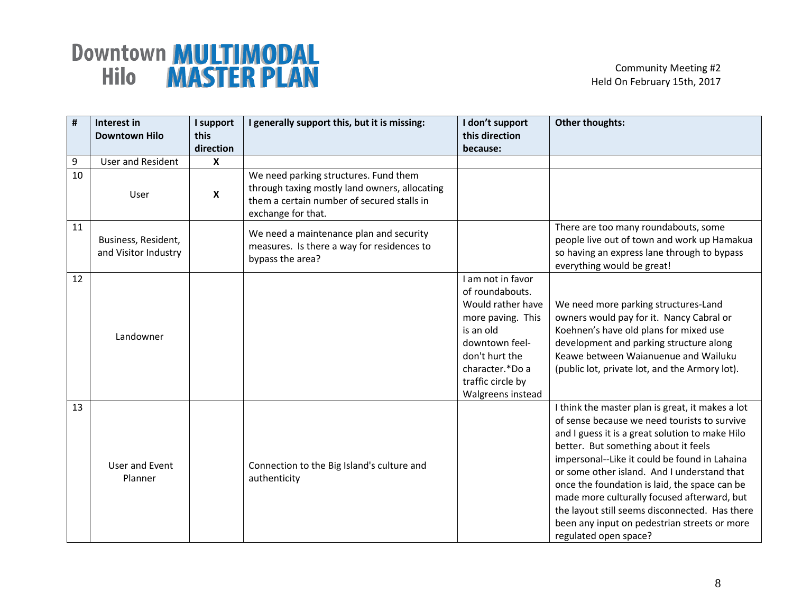| $\pmb{\sharp}$ | Interest in<br><b>Downtown Hilo</b>         | I support<br>this<br>direction | I generally support this, but it is missing:                                                                                                               | I don't support<br>this direction<br>because:                                                                                                                                                | <b>Other thoughts:</b>                                                                                                                                                                                                                                                                                                                                                                                                                                                                                                 |
|----------------|---------------------------------------------|--------------------------------|------------------------------------------------------------------------------------------------------------------------------------------------------------|----------------------------------------------------------------------------------------------------------------------------------------------------------------------------------------------|------------------------------------------------------------------------------------------------------------------------------------------------------------------------------------------------------------------------------------------------------------------------------------------------------------------------------------------------------------------------------------------------------------------------------------------------------------------------------------------------------------------------|
| 9              | <b>User and Resident</b>                    | X                              |                                                                                                                                                            |                                                                                                                                                                                              |                                                                                                                                                                                                                                                                                                                                                                                                                                                                                                                        |
| 10             | User                                        | X                              | We need parking structures. Fund them<br>through taxing mostly land owners, allocating<br>them a certain number of secured stalls in<br>exchange for that. |                                                                                                                                                                                              |                                                                                                                                                                                                                                                                                                                                                                                                                                                                                                                        |
| 11             | Business, Resident,<br>and Visitor Industry |                                | We need a maintenance plan and security<br>measures. Is there a way for residences to<br>bypass the area?                                                  |                                                                                                                                                                                              | There are too many roundabouts, some<br>people live out of town and work up Hamakua<br>so having an express lane through to bypass<br>everything would be great!                                                                                                                                                                                                                                                                                                                                                       |
| 12             | Landowner                                   |                                |                                                                                                                                                            | I am not in favor<br>of roundabouts.<br>Would rather have<br>more paving. This<br>is an old<br>downtown feel-<br>don't hurt the<br>character.*Do a<br>traffic circle by<br>Walgreens instead | We need more parking structures-Land<br>owners would pay for it. Nancy Cabral or<br>Koehnen's have old plans for mixed use<br>development and parking structure along<br>Keawe between Waianuenue and Wailuku<br>(public lot, private lot, and the Armory lot).                                                                                                                                                                                                                                                        |
| 13             | User and Event<br>Planner                   |                                | Connection to the Big Island's culture and<br>authenticity                                                                                                 |                                                                                                                                                                                              | I think the master plan is great, it makes a lot<br>of sense because we need tourists to survive<br>and I guess it is a great solution to make Hilo<br>better. But something about it feels<br>impersonal--Like it could be found in Lahaina<br>or some other island. And I understand that<br>once the foundation is laid, the space can be<br>made more culturally focused afterward, but<br>the layout still seems disconnected. Has there<br>been any input on pedestrian streets or more<br>regulated open space? |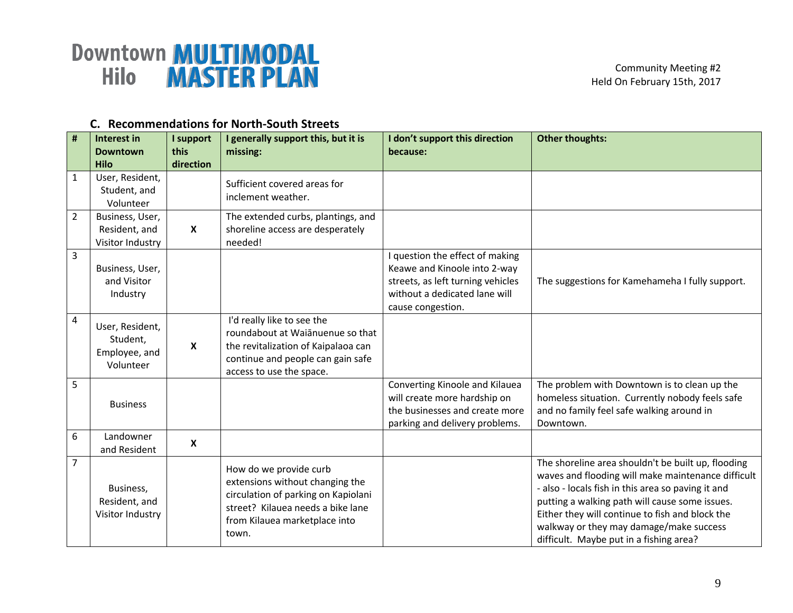| $\pmb{\#}$     | Interest in<br><b>Downtown</b><br>Hilo                    | I support<br>this<br>direction | I generally support this, but it is<br>missing:                                                                                                                                 | I don't support this direction<br>because:                                                                                                                 | <b>Other thoughts:</b>                                                                                                                                                                                                                                                                                                                                    |
|----------------|-----------------------------------------------------------|--------------------------------|---------------------------------------------------------------------------------------------------------------------------------------------------------------------------------|------------------------------------------------------------------------------------------------------------------------------------------------------------|-----------------------------------------------------------------------------------------------------------------------------------------------------------------------------------------------------------------------------------------------------------------------------------------------------------------------------------------------------------|
| $\mathbf{1}$   | User, Resident,<br>Student, and<br>Volunteer              |                                | Sufficient covered areas for<br>inclement weather.                                                                                                                              |                                                                                                                                                            |                                                                                                                                                                                                                                                                                                                                                           |
| $\overline{2}$ | Business, User,<br>Resident, and<br>Visitor Industry      | $\boldsymbol{\mathsf{X}}$      | The extended curbs, plantings, and<br>shoreline access are desperately<br>needed!                                                                                               |                                                                                                                                                            |                                                                                                                                                                                                                                                                                                                                                           |
| 3              | Business, User,<br>and Visitor<br>Industry                |                                |                                                                                                                                                                                 | I question the effect of making<br>Keawe and Kinoole into 2-way<br>streets, as left turning vehicles<br>without a dedicated lane will<br>cause congestion. | The suggestions for Kamehameha I fully support.                                                                                                                                                                                                                                                                                                           |
| 4              | User, Resident,<br>Student,<br>Employee, and<br>Volunteer | $\boldsymbol{x}$               | I'd really like to see the<br>roundabout at Waianuenue so that<br>the revitalization of Kaipalaoa can<br>continue and people can gain safe<br>access to use the space.          |                                                                                                                                                            |                                                                                                                                                                                                                                                                                                                                                           |
| 5              | <b>Business</b>                                           |                                |                                                                                                                                                                                 | Converting Kinoole and Kilauea<br>will create more hardship on<br>the businesses and create more<br>parking and delivery problems.                         | The problem with Downtown is to clean up the<br>homeless situation. Currently nobody feels safe<br>and no family feel safe walking around in<br>Downtown.                                                                                                                                                                                                 |
| 6              | Landowner<br>and Resident                                 | X                              |                                                                                                                                                                                 |                                                                                                                                                            |                                                                                                                                                                                                                                                                                                                                                           |
| $\overline{7}$ | Business,<br>Resident, and<br>Visitor Industry            |                                | How do we provide curb<br>extensions without changing the<br>circulation of parking on Kapiolani<br>street? Kilauea needs a bike lane<br>from Kilauea marketplace into<br>town. |                                                                                                                                                            | The shoreline area shouldn't be built up, flooding<br>waves and flooding will make maintenance difficult<br>- also - locals fish in this area so paving it and<br>putting a walking path will cause some issues.<br>Either they will continue to fish and block the<br>walkway or they may damage/make success<br>difficult. Maybe put in a fishing area? |

### **C. Recommendations for North-South Streets**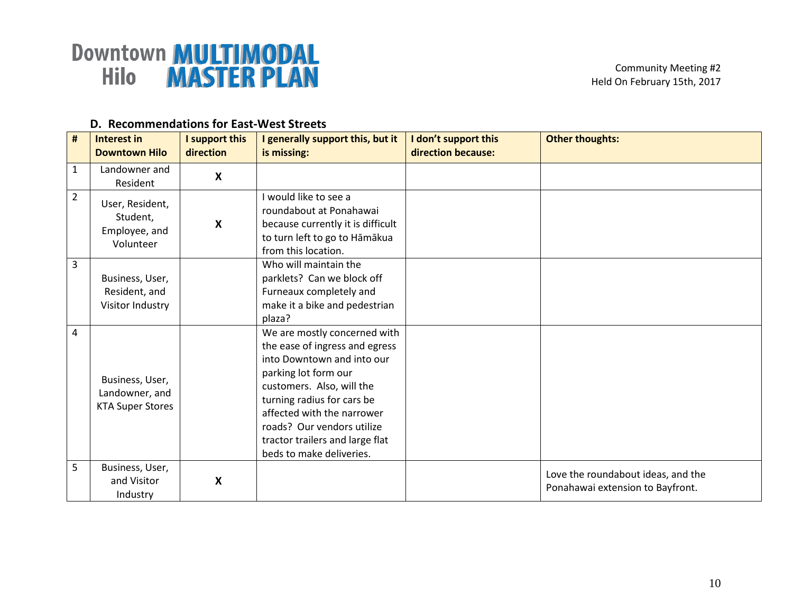| #              | <b>Interest in</b><br><b>Downtown Hilo</b>                   | I support this<br>direction | I generally support this, but it<br>is missing:                                                                                                                                                                                                                                                            | I don't support this<br>direction because: | <b>Other thoughts:</b>                                                 |
|----------------|--------------------------------------------------------------|-----------------------------|------------------------------------------------------------------------------------------------------------------------------------------------------------------------------------------------------------------------------------------------------------------------------------------------------------|--------------------------------------------|------------------------------------------------------------------------|
| $\mathbf{1}$   | Landowner and<br>Resident                                    | X                           |                                                                                                                                                                                                                                                                                                            |                                            |                                                                        |
| $\overline{2}$ | User, Resident,<br>Student,<br>Employee, and<br>Volunteer    | $\boldsymbol{\mathsf{X}}$   | I would like to see a<br>roundabout at Ponahawai<br>because currently it is difficult<br>to turn left to go to Hāmākua<br>from this location.                                                                                                                                                              |                                            |                                                                        |
| 3              | Business, User,<br>Resident, and<br>Visitor Industry         |                             | Who will maintain the<br>parklets? Can we block off<br>Furneaux completely and<br>make it a bike and pedestrian<br>plaza?                                                                                                                                                                                  |                                            |                                                                        |
| 4              | Business, User,<br>Landowner, and<br><b>KTA Super Stores</b> |                             | We are mostly concerned with<br>the ease of ingress and egress<br>into Downtown and into our<br>parking lot form our<br>customers. Also, will the<br>turning radius for cars be<br>affected with the narrower<br>roads? Our vendors utilize<br>tractor trailers and large flat<br>beds to make deliveries. |                                            |                                                                        |
| 5              | Business, User,<br>and Visitor<br>Industry                   | $\boldsymbol{\mathsf{X}}$   |                                                                                                                                                                                                                                                                                                            |                                            | Love the roundabout ideas, and the<br>Ponahawai extension to Bayfront. |

#### **D. Recommendations for East-West Streets**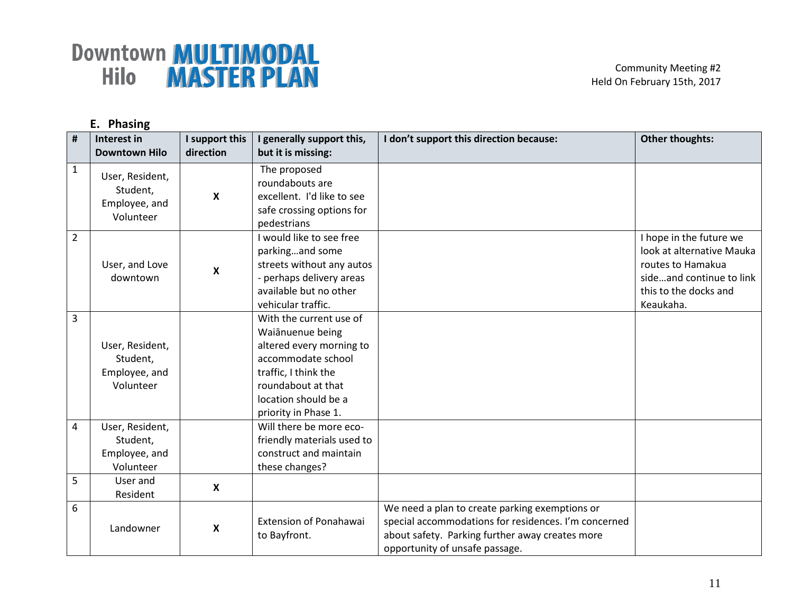|                | E. Phasing                 |                |                               |                                                      |                           |  |
|----------------|----------------------------|----------------|-------------------------------|------------------------------------------------------|---------------------------|--|
| $\pmb{\sharp}$ | Interest in                | I support this | I generally support this,     | don't support this direction because:                | <b>Other thoughts:</b>    |  |
|                | <b>Downtown Hilo</b>       | direction      | but it is missing:            |                                                      |                           |  |
| $\mathbf{1}$   | User, Resident,            |                | The proposed                  |                                                      |                           |  |
|                |                            |                | roundabouts are               |                                                      |                           |  |
|                | Student,                   | X              | excellent. I'd like to see    |                                                      |                           |  |
|                | Employee, and<br>Volunteer |                | safe crossing options for     |                                                      |                           |  |
|                |                            |                | pedestrians                   |                                                      |                           |  |
| $\overline{2}$ |                            |                | I would like to see free      |                                                      | I hope in the future we   |  |
|                |                            |                | parkingand some               |                                                      | look at alternative Mauka |  |
|                | User, and Love             |                | streets without any autos     |                                                      | routes to Hamakua         |  |
|                | downtown                   | X              | - perhaps delivery areas      |                                                      | sideand continue to link  |  |
|                |                            |                | available but no other        |                                                      | this to the docks and     |  |
|                |                            |                | vehicular traffic.            |                                                      | Keaukaha.                 |  |
| 3              |                            |                | With the current use of       |                                                      |                           |  |
|                |                            |                | Waiānuenue being              |                                                      |                           |  |
|                | User, Resident,            |                | altered every morning to      |                                                      |                           |  |
|                | Student,                   |                | accommodate school            |                                                      |                           |  |
|                | Employee, and              |                | traffic, I think the          |                                                      |                           |  |
|                | Volunteer                  |                | roundabout at that            |                                                      |                           |  |
|                |                            |                | location should be a          |                                                      |                           |  |
|                |                            |                | priority in Phase 1.          |                                                      |                           |  |
| $\overline{4}$ | User, Resident,            |                | Will there be more eco-       |                                                      |                           |  |
|                | Student,                   |                | friendly materials used to    |                                                      |                           |  |
|                | Employee, and              |                | construct and maintain        |                                                      |                           |  |
|                | Volunteer                  |                | these changes?                |                                                      |                           |  |
| 5              | User and                   | X              |                               |                                                      |                           |  |
|                | Resident                   |                |                               |                                                      |                           |  |
| 6              |                            |                |                               | We need a plan to create parking exemptions or       |                           |  |
|                | Landowner                  | X              | <b>Extension of Ponahawai</b> | special accommodations for residences. I'm concerned |                           |  |
|                |                            |                | to Bayfront.                  | about safety. Parking further away creates more      |                           |  |
|                |                            |                |                               | opportunity of unsafe passage.                       |                           |  |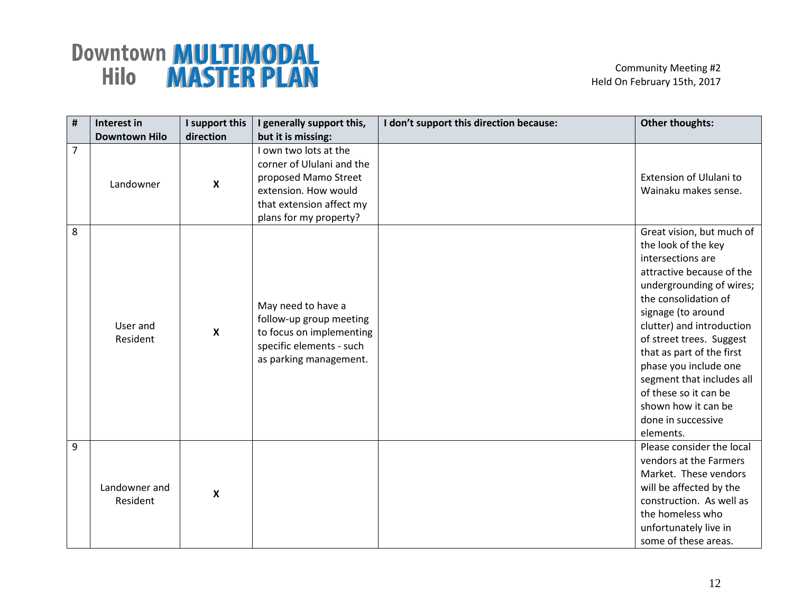| $\#$           | Interest in               | I support this            | I generally support this,                                                                                                                                | I don't support this direction because: | <b>Other thoughts:</b>                                                                                                                                                                                                                                                                                                                                                                                      |
|----------------|---------------------------|---------------------------|----------------------------------------------------------------------------------------------------------------------------------------------------------|-----------------------------------------|-------------------------------------------------------------------------------------------------------------------------------------------------------------------------------------------------------------------------------------------------------------------------------------------------------------------------------------------------------------------------------------------------------------|
|                | <b>Downtown Hilo</b>      | direction                 | but it is missing:                                                                                                                                       |                                         |                                                                                                                                                                                                                                                                                                                                                                                                             |
| $\overline{7}$ | Landowner                 | $\boldsymbol{\mathsf{x}}$ | I own two lots at the<br>corner of Ululani and the<br>proposed Mamo Street<br>extension. How would<br>that extension affect my<br>plans for my property? |                                         | Extension of Ululani to<br>Wainaku makes sense.                                                                                                                                                                                                                                                                                                                                                             |
| 8              | User and<br>Resident      | $\boldsymbol{\mathsf{X}}$ | May need to have a<br>follow-up group meeting<br>to focus on implementing<br>specific elements - such<br>as parking management.                          |                                         | Great vision, but much of<br>the look of the key<br>intersections are<br>attractive because of the<br>undergrounding of wires;<br>the consolidation of<br>signage (to around<br>clutter) and introduction<br>of street trees. Suggest<br>that as part of the first<br>phase you include one<br>segment that includes all<br>of these so it can be<br>shown how it can be<br>done in successive<br>elements. |
| 9              | Landowner and<br>Resident | $\boldsymbol{\mathsf{X}}$ |                                                                                                                                                          |                                         | Please consider the local<br>vendors at the Farmers<br>Market. These vendors<br>will be affected by the<br>construction. As well as<br>the homeless who<br>unfortunately live in<br>some of these areas.                                                                                                                                                                                                    |